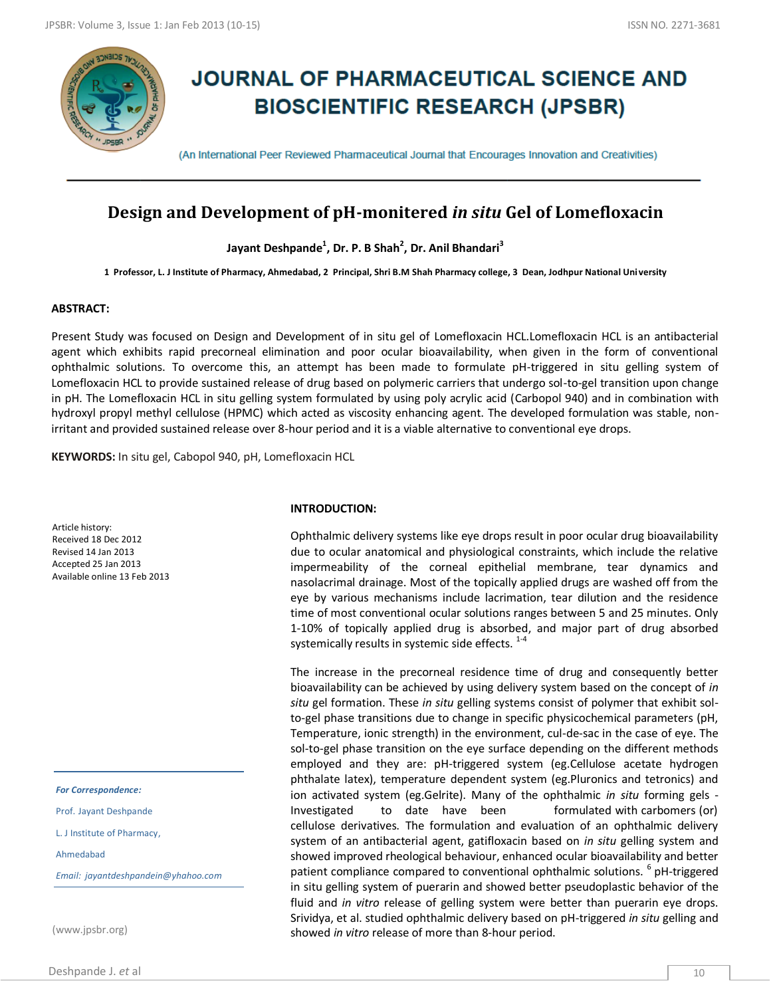

# **JOURNAL OF PHARMACEUTICAL SCIENCE AND BIOSCIENTIFIC RESEARCH (JPSBR)**

(An International Peer Reviewed Pharmaceutical Journal that Encourages Innovation and Creativities)

# **Design and Development of pH-monitered** *in situ* **Gel of Lomefloxacin**

**hydrochloride Jayant Deshpande<sup>1</sup> , Dr. P. B Shah<sup>2</sup> , Dr. Anil Bhandari<sup>3</sup>**

**1 Professor, L. J Institute of Pharmacy, Ahmedabad, 2 Principal, Shri B.M Shah Pharmacy college, 3 Dean, Jodhpur National University**

#### **ABSTRACT:**

Present Study was focused on Design and Development of in situ gel of Lomefloxacin HCL.Lomefloxacin HCL is an antibacterial agent which exhibits rapid precorneal elimination and poor ocular bioavailability, when given in the form of conventional ophthalmic solutions. To overcome this, an attempt has been made to formulate pH-triggered in situ gelling system of Lomefloxacin HCL to provide sustained release of drug based on polymeric carriers that undergo sol-to-gel transition upon change in pH. The Lomefloxacin HCL in situ gelling system formulated by using poly acrylic acid (Carbopol 940) and in combination with hydroxyl propyl methyl cellulose (HPMC) which acted as viscosity enhancing agent. The developed formulation was stable, nonirritant and provided sustained release over 8-hour period and it is a viable alternative to conventional eye drops.

**KEYWORDS:** In situ gel, Cabopol 940, pH, Lomefloxacin HCL

Article history: Received 18 Dec 2012 Revised 14 Jan 2013 Accepted 25 Jan 2013 Available online 13 Feb 2013

*For Correspondence:*

Prof. Jayant Deshpande

L. J Institute of Pharmacy,

Ahmedabad

*Email: jayantdeshpandein@yhahoo.com*

(www.jpsbr.org)

#### **INTRODUCTION:**

Ophthalmic delivery systems like eye drops result in poor ocular drug bioavailability due to ocular anatomical and physiological constraints, which include the relative impermeability of the corneal epithelial membrane, tear dynamics and nasolacrimal drainage. Most of the topically applied drugs are washed off from the eye by various mechanisms include lacrimation, tear dilution and the residence time of most conventional ocular solutions ranges between 5 and 25 minutes. Only 1-10% of topically applied drug is absorbed, and major part of drug absorbed systemically results in systemic side effects.  $1-4$ 

The increase in the precorneal residence time of drug and consequently better bioavailability can be achieved by using delivery system based on the concept of *in situ* gel formation. These *in situ* gelling systems consist of polymer that exhibit solto-gel phase transitions due to change in specific physicochemical parameters (pH, Temperature, ionic strength) in the environment, cul-de-sac in the case of eye. The sol-to-gel phase transition on the eye surface depending on the different methods employed and they are: pH-triggered system (eg.Cellulose acetate hydrogen phthalate latex), temperature dependent system (eg.Pluronics and tetronics) and ion activated system (eg.Gelrite). Many of the ophthalmic *in situ* forming gels - Investigated to date have been formulated with carbomers (or) cellulose derivatives. The formulation and evaluation of an ophthalmic delivery system of an antibacterial agent, gatifloxacin based on *in situ* gelling system and showed improved rheological behaviour, enhanced ocular bioavailability and better patient compliance compared to conventional ophthalmic solutions. <sup>6</sup> pH-triggered in situ gelling system of puerarin and showed better pseudoplastic behavior of the fluid and *in vitro* release of gelling system were better than puerarin eye drops. Srividya, et al. studied ophthalmic delivery based on pH-triggered *in situ* gelling and showed *in vitro* release of more than 8-hour period.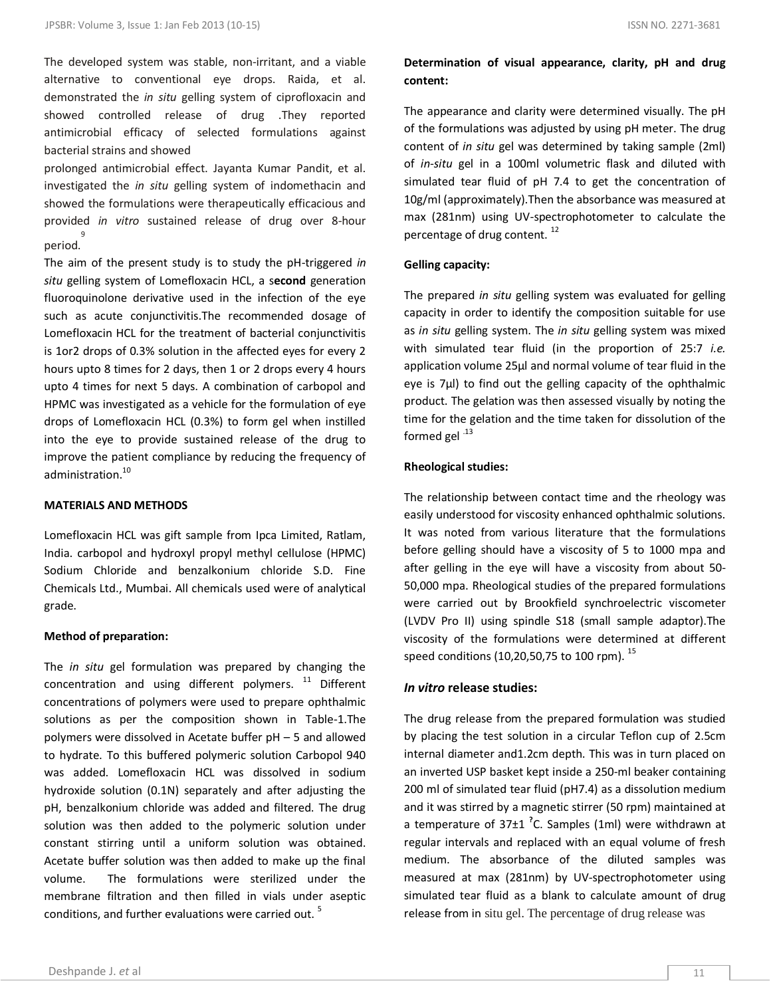The developed system was stable, non-irritant, and a viable alternative to conventional eye drops. Raida, et al. demonstrated the *in situ* gelling system of ciprofloxacin and showed controlled release of drug .They reported antimicrobial efficacy of selected formulations against bacterial strains and showed

prolonged antimicrobial effect. Jayanta Kumar Pandit, et al. investigated the *in situ* gelling system of indomethacin and showed the formulations were therapeutically efficacious and provided *in vitro* sustained release of drug over 8-hour period. 9

The aim of the present study is to study the pH-triggered *in situ* gelling system of Lomefloxacin HCL, a s**econd** generation fluoroquinolone derivative used in the infection of the eye such as acute conjunctivitis.The recommended dosage of Lomefloxacin HCL for the treatment of bacterial conjunctivitis is 1or2 drops of 0.3% solution in the affected eyes for every 2 hours upto 8 times for 2 days, then 1 or 2 drops every 4 hours upto 4 times for next 5 days. A combination of carbopol and HPMC was investigated as a vehicle for the formulation of eye drops of Lomefloxacin HCL (0.3%) to form gel when instilled into the eye to provide sustained release of the drug to improve the patient compliance by reducing the frequency of administration.<sup>10</sup>

# **MATERIALS AND METHODS**

Lomefloxacin HCL was gift sample from Ipca Limited, Ratlam, India. carbopol and hydroxyl propyl methyl cellulose (HPMC) Sodium Chloride and benzalkonium chloride S.D. Fine Chemicals Ltd., Mumbai. All chemicals used were of analytical grade.

# **Method of preparation:**

The *in situ* gel formulation was prepared by changing the concentration and using different polymers. <sup>11</sup> Different concentrations of polymers were used to prepare ophthalmic solutions as per the composition shown in Table-1.The polymers were dissolved in Acetate buffer pH – 5 and allowed to hydrate. To this buffered polymeric solution Carbopol 940 was added. Lomefloxacin HCL was dissolved in sodium hydroxide solution (0.1N) separately and after adjusting the pH, benzalkonium chloride was added and filtered. The drug solution was then added to the polymeric solution under constant stirring until a uniform solution was obtained. Acetate buffer solution was then added to make up the final volume. The formulations were sterilized under the membrane filtration and then filled in vials under aseptic conditions, and further evaluations were carried out.<sup>5</sup>

# **Determination of visual appearance, clarity, pH and drug content:**

The appearance and clarity were determined visually. The pH of the formulations was adjusted by using pH meter. The drug content of *in situ* gel was determined by taking sample (2ml) of *in-situ* gel in a 100ml volumetric flask and diluted with simulated tear fluid of pH 7.4 to get the concentration of 10g/ml (approximately).Then the absorbance was measured at max (281nm) using UV-spectrophotometer to calculate the percentage of drug content.<sup>12</sup>

# **Gelling capacity:**

The prepared *in situ* gelling system was evaluated for gelling capacity in order to identify the composition suitable for use as *in situ* gelling system. The *in situ* gelling system was mixed with simulated tear fluid (in the proportion of 25:7 *i.e.*  application volume 25µl and normal volume of tear fluid in the eye is 7µl) to find out the gelling capacity of the ophthalmic product. The gelation was then assessed visually by noting the time for the gelation and the time taken for dissolution of the formed gel<sup>.13</sup>

#### **Rheological studies:**

The relationship between contact time and the rheology was easily understood for viscosity enhanced ophthalmic solutions. It was noted from various literature that the formulations before gelling should have a viscosity of 5 to 1000 mpa and after gelling in the eye will have a viscosity from about 50- 50,000 mpa. Rheological studies of the prepared formulations were carried out by Brookfield synchroelectric viscometer (LVDV Pro II) using spindle S18 (small sample adaptor).The viscosity of the formulations were determined at different speed conditions (10,20,50,75 to 100 rpm).  $^{15}$ 

## *In vitro* **release studies:**

The drug release from the prepared formulation was studied by placing the test solution in a circular Teflon cup of 2.5cm internal diameter and1.2cm depth. This was in turn placed on an inverted USP basket kept inside a 250-ml beaker containing 200 ml of simulated tear fluid (pH7.4) as a dissolution medium and it was stirred by a magnetic stirrer (50 rpm) maintained at a temperature of 37±1 **?** C. Samples (1ml) were withdrawn at regular intervals and replaced with an equal volume of fresh medium. The absorbance of the diluted samples was measured at max (281nm) by UV-spectrophotometer using simulated tear fluid as a blank to calculate amount of drug release from in situ gel. The percentage of drug release was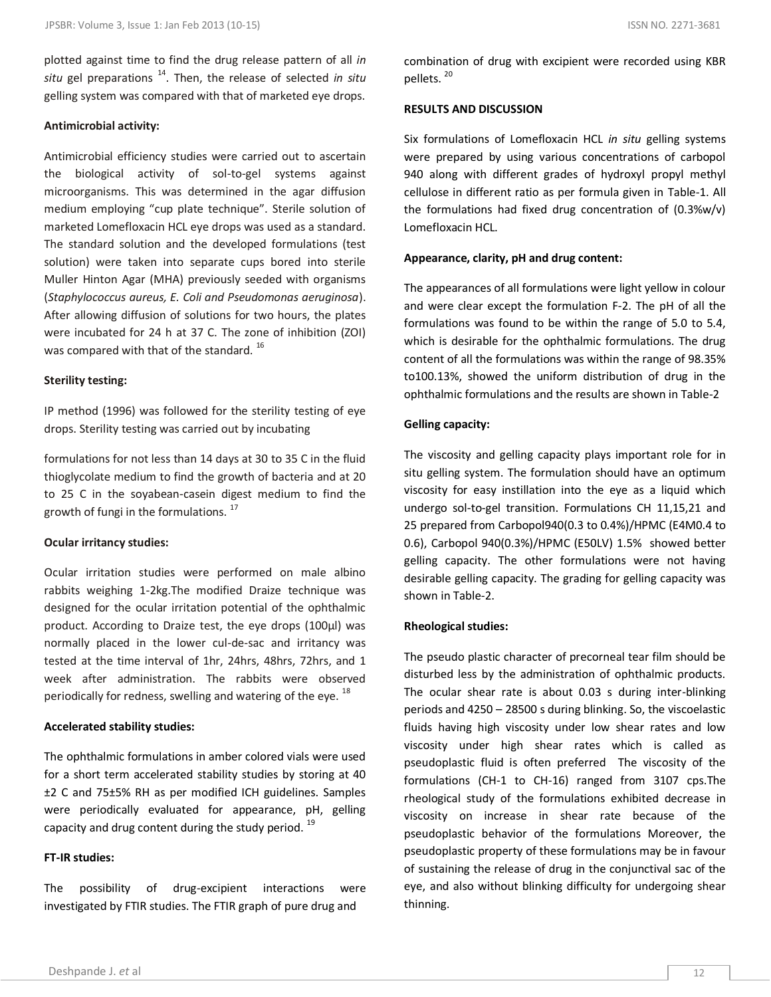plotted against time to find the drug release pattern of all *in situ* gel preparations <sup>14</sup>. Then, the release of selected *in situ* gelling system was compared with that of marketed eye drops.

#### **Antimicrobial activity:**

Antimicrobial efficiency studies were carried out to ascertain the biological activity of sol-to-gel systems against microorganisms. This was determined in the agar diffusion medium employing "cup plate technique". Sterile solution of marketed Lomefloxacin HCL eye drops was used as a standard. The standard solution and the developed formulations (test solution) were taken into separate cups bored into sterile Muller Hinton Agar (MHA) previously seeded with organisms (*Staphylococcus aureus, E. Coli and Pseudomonas aeruginosa*). After allowing diffusion of solutions for two hours, the plates were incubated for 24 h at 37 C. The zone of inhibition (ZOI) was compared with that of the standard.<sup>16</sup>

#### **Sterility testing:**

IP method (1996) was followed for the sterility testing of eye drops. Sterility testing was carried out by incubating

formulations for not less than 14 days at 30 to 35 C in the fluid thioglycolate medium to find the growth of bacteria and at 20 to 25 C in the soyabean-casein digest medium to find the growth of fungi in the formulations. <sup>17</sup>

#### **Ocular irritancy studies:**

Ocular irritation studies were performed on male albino rabbits weighing 1-2kg.The modified Draize technique was designed for the ocular irritation potential of the ophthalmic product. According to Draize test, the eye drops (100µl) was normally placed in the lower cul-de-sac and irritancy was tested at the time interval of 1hr, 24hrs, 48hrs, 72hrs, and 1 week after administration. The rabbits were observed periodically for redness, swelling and watering of the eye. <sup>18</sup>

#### **Accelerated stability studies:**

The ophthalmic formulations in amber colored vials were used for a short term accelerated stability studies by storing at 40 ±2 C and 75±5% RH as per modified ICH guidelines. Samples were periodically evaluated for appearance, pH, gelling capacity and drug content during the study period. <sup>19</sup>

### **FT-IR studies:**

The possibility of drug-excipient interactions were investigated by FTIR studies. The FTIR graph of pure drug and

combination of drug with excipient were recorded using KBR pellets.<sup>20</sup>

#### **RESULTS AND DISCUSSION**

Six formulations of Lomefloxacin HCL *in situ* gelling systems were prepared by using various concentrations of carbopol 940 along with different grades of hydroxyl propyl methyl cellulose in different ratio as per formula given in Table-1. All the formulations had fixed drug concentration of (0.3%w/v) Lomefloxacin HCL.

#### **Appearance, clarity, pH and drug content:**

The appearances of all formulations were light yellow in colour and were clear except the formulation F-2. The pH of all the formulations was found to be within the range of 5.0 to 5.4, which is desirable for the ophthalmic formulations. The drug content of all the formulations was within the range of 98.35% to100.13%, showed the uniform distribution of drug in the ophthalmic formulations and the results are shown in Table-2

#### **Gelling capacity:**

The viscosity and gelling capacity plays important role for in situ gelling system. The formulation should have an optimum viscosity for easy instillation into the eye as a liquid which undergo sol-to-gel transition. Formulations CH 11,15,21 and 25 prepared from Carbopol940(0.3 to 0.4%)/HPMC (E4M0.4 to 0.6), Carbopol 940(0.3%)/HPMC (E50LV) 1.5% showed better gelling capacity. The other formulations were not having desirable gelling capacity. The grading for gelling capacity was shown in Table-2.

#### **Rheological studies:**

The pseudo plastic character of precorneal tear film should be disturbed less by the administration of ophthalmic products. The ocular shear rate is about 0.03 s during inter-blinking periods and 4250 – 28500 s during blinking. So, the viscoelastic fluids having high viscosity under low shear rates and low viscosity under high shear rates which is called as pseudoplastic fluid is often preferred The viscosity of the formulations (CH-1 to CH-16) ranged from 3107 cps.The rheological study of the formulations exhibited decrease in viscosity on increase in shear rate because of the pseudoplastic behavior of the formulations Moreover, the pseudoplastic property of these formulations may be in favour of sustaining the release of drug in the conjunctival sac of the eye, and also without blinking difficulty for undergoing shear thinning.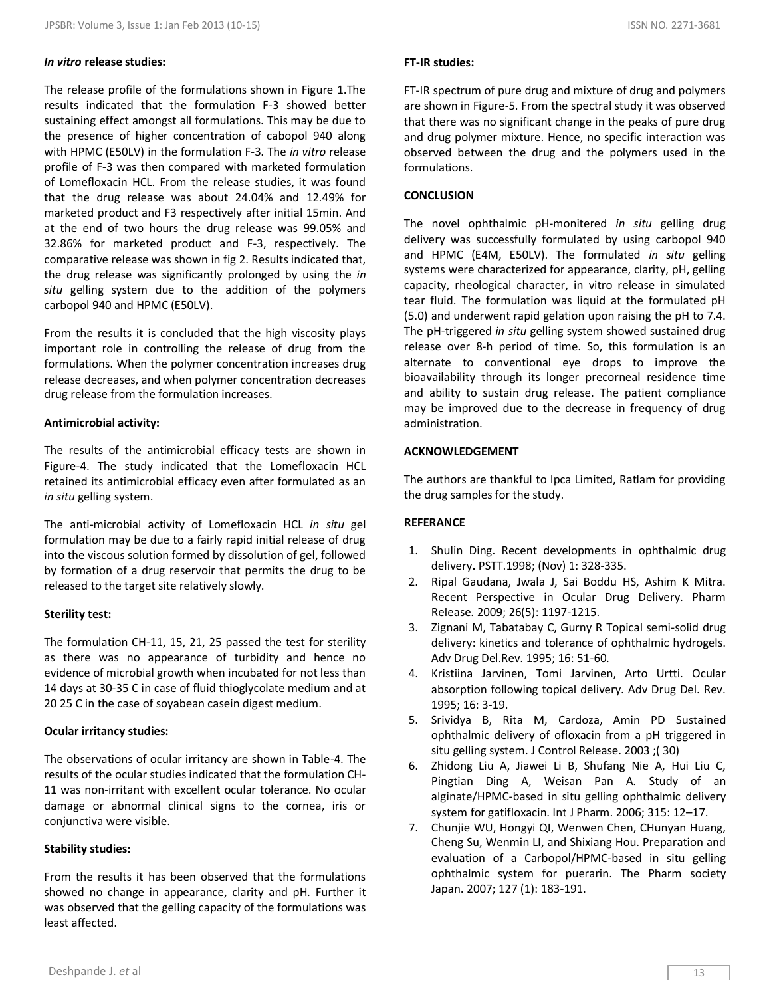#### *In vitro* **release studies:**

The release profile of the formulations shown in Figure 1.The results indicated that the formulation F-3 showed better sustaining effect amongst all formulations. This may be due to the presence of higher concentration of cabopol 940 along with HPMC (E50LV) in the formulation F-3. The *in vitro* release profile of F-3 was then compared with marketed formulation of Lomefloxacin HCL. From the release studies, it was found that the drug release was about 24.04% and 12.49% for marketed product and F3 respectively after initial 15min. And at the end of two hours the drug release was 99.05% and 32.86% for marketed product and F-3, respectively. The comparative release was shown in fig 2. Results indicated that, the drug release was significantly prolonged by using the *in situ* gelling system due to the addition of the polymers carbopol 940 and HPMC (E50LV).

From the results it is concluded that the high viscosity plays important role in controlling the release of drug from the formulations. When the polymer concentration increases drug release decreases, and when polymer concentration decreases drug release from the formulation increases.

#### **Antimicrobial activity:**

The results of the antimicrobial efficacy tests are shown in Figure-4. The study indicated that the Lomefloxacin HCL retained its antimicrobial efficacy even after formulated as an *in situ* gelling system.

The anti-microbial activity of Lomefloxacin HCL *in situ* gel formulation may be due to a fairly rapid initial release of drug into the viscous solution formed by dissolution of gel, followed by formation of a drug reservoir that permits the drug to be released to the target site relatively slowly.

#### **Sterility test:**

The formulation CH-11, 15, 21, 25 passed the test for sterility as there was no appearance of turbidity and hence no evidence of microbial growth when incubated for not less than 14 days at 30-35 C in case of fluid thioglycolate medium and at 20 25 C in the case of soyabean casein digest medium.

#### **Ocular irritancy studies:**

The observations of ocular irritancy are shown in Table-4. The results of the ocular studies indicated that the formulation CH-11 was non-irritant with excellent ocular tolerance. No ocular damage or abnormal clinical signs to the cornea, iris or conjunctiva were visible.

#### **Stability studies:**

From the results it has been observed that the formulations showed no change in appearance, clarity and pH. Further it was observed that the gelling capacity of the formulations was least affected.

#### **FT-IR studies:**

FT-IR spectrum of pure drug and mixture of drug and polymers are shown in Figure-5. From the spectral study it was observed that there was no significant change in the peaks of pure drug and drug polymer mixture. Hence, no specific interaction was observed between the drug and the polymers used in the formulations.

#### **CONCLUSION**

The novel ophthalmic pH-monitered *in situ* gelling drug delivery was successfully formulated by using carbopol 940 and HPMC (E4M, E50LV). The formulated *in situ* gelling systems were characterized for appearance, clarity, pH, gelling capacity, rheological character, in vitro release in simulated tear fluid. The formulation was liquid at the formulated pH (5.0) and underwent rapid gelation upon raising the pH to 7.4. The pH-triggered *in situ* gelling system showed sustained drug release over 8-h period of time. So, this formulation is an alternate to conventional eye drops to improve the bioavailability through its longer precorneal residence time and ability to sustain drug release. The patient compliance may be improved due to the decrease in frequency of drug administration.

#### **ACKNOWLEDGEMENT**

The authors are thankful to Ipca Limited, Ratlam for providing the drug samples for the study.

#### **REFERANCE**

- 1. Shulin Ding. Recent developments in ophthalmic drug delivery**.** PSTT.1998; (Nov) 1: 328-335.
- 2. Ripal Gaudana, Jwala J, Sai Boddu HS, Ashim K Mitra. Recent Perspective in Ocular Drug Delivery. Pharm Release. 2009; 26(5): 1197-1215.
- 3. Zignani M, Tabatabay C, Gurny R Topical semi-solid drug delivery: kinetics and tolerance of ophthalmic hydrogels. Adv Drug Del.Rev. 1995; 16: 51-60.
- 4. Kristiina Jarvinen, Tomi Jarvinen, Arto Urtti. Ocular absorption following topical delivery. Adv Drug Del. Rev. 1995; 16: 3-19.
- 5. Srividya B, Rita M, Cardoza, Amin PD Sustained ophthalmic delivery of ofloxacin from a pH triggered in situ gelling system. J Control Release. 2003 ;( 30)
- 6. Zhidong Liu A, Jiawei Li B, Shufang Nie A, Hui Liu C, Pingtian Ding A, Weisan Pan A*.* Study of an alginate/HPMC-based in situ gelling ophthalmic delivery system for gatifloxacin. Int J Pharm. 2006; 315: 12–17.
- 7. Chunjie WU, Hongyi QI, Wenwen Chen, CHunyan Huang, Cheng Su, Wenmin LI, and Shixiang Hou. Preparation and evaluation of a Carbopol/HPMC-based in situ gelling ophthalmic system for puerarin. The Pharm society Japan. 2007; 127 (1): 183-191.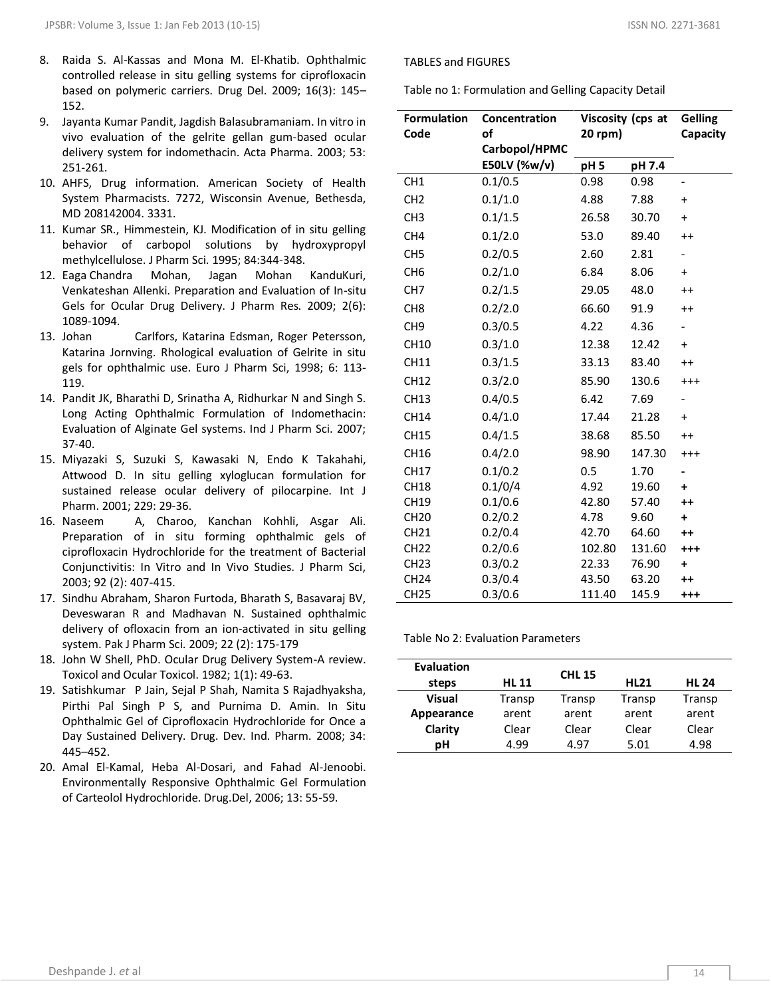- 8. Raida S. Al-Kassas and Mona M. El-Khatib. Ophthalmic controlled release in situ gelling systems for ciprofloxacin based on polymeric carriers. Drug Del. 2009; 16(3): 145– 152.
- 9. Jayanta Kumar Pandit, Jagdish Balasubramaniam. In vitro in vivo evaluation of the gelrite gellan gum-based ocular delivery system for indomethacin. Acta Pharma. 2003; 53: 251-261.
- 10. AHFS, Drug information. American Society of Health System Pharmacists. 7272, Wisconsin Avenue, Bethesda, MD 208142004. 3331.
- 11. Kumar SR., Himmestein, KJ. Modification of in situ gelling behavior of carbopol solutions by hydroxypropyl methylcellulose. J Pharm Sci. 1995; 84:344-348.
- 12. Eaga Chandra Mohan, Jagan Mohan KanduKuri, Venkateshan Allenki. Preparation and Evaluation of In-situ Gels for Ocular Drug Delivery. J Pharm Res. 2009; 2(6): 1089-1094.
- 13. Johan Carlfors, Katarina Edsman, Roger Petersson, Katarina Jornving. Rhological evaluation of Gelrite in situ gels for ophthalmic use. Euro J Pharm Sci, 1998; 6: 113- 119.
- 14. Pandit JK, Bharathi D, Srinatha A, Ridhurkar N and Singh S. Long Acting Ophthalmic Formulation of Indomethacin: Evaluation of Alginate Gel systems. Ind J Pharm Sci. 2007; 37-40.
- 15. Miyazaki S, Suzuki S, Kawasaki N, Endo K Takahahi, Attwood D. In situ gelling xyloglucan formulation for sustained release ocular delivery of pilocarpine. Int J Pharm. 2001; 229: 29-36.
- 16. Naseem A, Charoo, Kanchan Kohhli, Asgar Ali. Preparation of in situ forming ophthalmic gels of ciprofloxacin Hydrochloride for the treatment of Bacterial Conjunctivitis: In Vitro and In Vivo Studies. J Pharm Sci, 2003; 92 (2): 407-415.
- 17. Sindhu Abraham, Sharon Furtoda, Bharath S, Basavaraj BV, Deveswaran R and Madhavan N. Sustained ophthalmic delivery of ofloxacin from an ion-activated in situ gelling system. Pak J Pharm Sci. 2009; 22 (2): 175-179
- 18. John W Shell, PhD. Ocular Drug Delivery System-A review. Toxicol and Ocular Toxicol. 1982; 1(1): 49-63.
- 19. Satishkumar P Jain, Sejal P Shah, Namita S Rajadhyaksha, Pirthi Pal Singh P S, and Purnima D. Amin. In Situ Ophthalmic Gel of Ciprofloxacin Hydrochloride for Once a Day Sustained Delivery. Drug. Dev. Ind. Pharm. 2008; 34: 445–452.
- 20. Amal El-Kamal, Heba Al-Dosari, and Fahad Al-Jenoobi. Environmentally Responsive Ophthalmic Gel Formulation of Carteolol Hydrochloride. Drug.Del, 2006; 13: 55-59.

#### TABLES and FIGURES

Table no 1: Formulation and Gelling Capacity Detail

| <b>Formulation</b><br>Code | Concentration<br>οf<br>Carbopol/HPMC | Viscosity (cps at<br>20 rpm) |        | <b>Gelling</b><br>Capacity       |
|----------------------------|--------------------------------------|------------------------------|--------|----------------------------------|
|                            | E50LV (%w/v)                         | pH <sub>5</sub>              | pH 7.4 |                                  |
| CH <sub>1</sub>            | 0.1/0.5                              | 0.98                         | 0.98   | $\overline{\phantom{0}}$         |
| CH <sub>2</sub>            | 0.1/1.0                              | 4.88                         | 7.88   | $\ddot{}$                        |
| CH <sub>3</sub>            | 0.1/1.5                              | 26.58                        | 30.70  | $\ddot{}$                        |
| CH4                        | 0.1/2.0                              | 53.0                         | 89.40  | $++$                             |
| CH <sub>5</sub>            | 0.2/0.5                              | 2.60                         | 2.81   | $\overline{\phantom{0}}$         |
| CH <sub>6</sub>            | 0.2/1.0                              | 6.84                         | 8.06   | $\ddot{}$                        |
| CH <sub>7</sub>            | 0.2/1.5                              | 29.05                        | 48.0   | $^{++}$                          |
| CH <sub>8</sub>            | 0.2/2.0                              | 66.60                        | 91.9   | $++$                             |
| CH <sub>9</sub>            | 0.3/0.5                              | 4.22                         | 4.36   |                                  |
| <b>CH10</b>                | 0.3/1.0                              | 12.38                        | 12.42  | $\begin{array}{c} + \end{array}$ |
| CH11                       | 0.3/1.5                              | 33.13                        | 83.40  | $++$                             |
| CH12                       | 0.3/2.0                              | 85.90                        | 130.6  | $^{+++}$                         |
| <b>CH13</b>                | 0.4/0.5                              | 6.42                         | 7.69   | $\overline{\phantom{0}}$         |
| <b>CH14</b>                | 0.4/1.0                              | 17.44                        | 21.28  | $\pmb{+}$                        |
| <b>CH15</b>                | 0.4/1.5                              | 38.68                        | 85.50  | $++$                             |
| CH16                       | 0.4/2.0                              | 98.90                        | 147.30 | $^{+++}$                         |
| CH17                       | 0.1/0.2                              | 0.5                          | 1.70   |                                  |
| <b>CH18</b>                | 0.1/0/4                              | 4.92                         | 19.60  | $\ddot{}$                        |
| CH19                       | 0.1/0.6                              | 42.80                        | 57.40  | $++$                             |
| <b>CH20</b>                | 0.2/0.2                              | 4.78                         | 9.60   | $\ddot{}$                        |
| <b>CH21</b>                | 0.2/0.4                              | 42.70                        | 64.60  | $++$                             |
| <b>CH22</b>                | 0.2/0.6                              | 102.80                       | 131.60 | $^{++}$                          |
| CH <sub>23</sub>           | 0.3/0.2                              | 22.33                        | 76.90  | +                                |
| <b>CH24</b>                | 0.3/0.4                              | 43.50                        | 63.20  | $++$                             |
| <b>CH25</b>                | 0.3/0.6                              | 111.40                       | 145.9  | $^{+++}$                         |

Table No 2: Evaluation Parameters

| <b>Evaluation</b> |              | <b>CHL 15</b> |             |              |
|-------------------|--------------|---------------|-------------|--------------|
| steps             | <b>HL 11</b> |               | <b>HL21</b> | <b>HL 24</b> |
| <b>Visual</b>     | Transp       | Transp        | Transp      | Transp       |
| Appearance        | arent        | arent         | arent       | arent        |
| Clarity           | Clear        | Clear         | Clear       | Clear        |
| pН                | 4.99         | 4.97          | 5.01        | 4.98         |